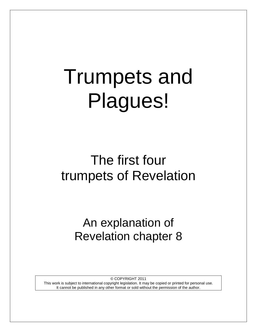# Trumpets and Plagues!

# The first four trumpets of Revelation

An explanation of Revelation chapter 8

© COPYRIGHT 2011

This work is subject to international copyright legislation. It may be copied or printed for personal use. It cannot be published in any other format or sold without the permission of the author.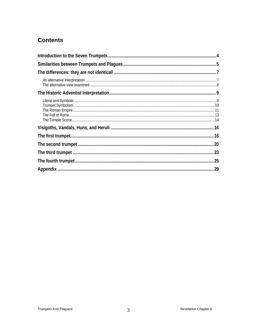# **Contents**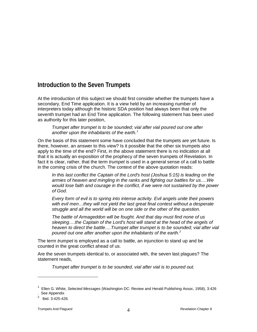# <span id="page-3-0"></span>**Introduction to the Seven Trumpets**

At the introduction of this subject we should first consider whether the trumpets have a secondary, End Time application. It is a view held by an increasing number of interpreters today although the historic SDA position had always been that only the seventh trumpet had an End Time application. The following statement has been used as authority for this later position,

*Trumpet after trumpet is to be sounded; vial after vial poured out one after another upon the inhabitants of the earth.[1](#page-3-1)*

On the basis of this statement some have concluded that the trumpets are yet future. Is there, however, an answer to this view? Is it possible that the other six trumpets also apply to the time of the end? First, in the above statement there is no indication at all that it is actually an exposition of the prophecy of the seven trumpets of Revelation. In fact it is clear, rather, that the term *trumpet* is used in a general sense of a call to battle in the coming crisis of the church. The context of the above quotation reads:

*In this last conflict the Captain of the Lord's host (Joshua 5:15) is leading on the armies of heaven and mingling in the ranks and fighting our battles for us….We would lose faith and courage in the conflict, if we were not sustained by the power of God.*

*Every form of evil is to spring into intense activity. Evil angels unite their powers*  with evil men...they will not yield the last great final contest without a desperate *struggle and all the world will be on one side or the other of the question.*

*The battle of Armageddon will be fought. And that day must find none of us sleeping….the Captain of the Lord's host will stand at the head of the angels of*  heaven to direct the battle....Trumpet after trumpet is to be sounded; vial after vial *poured out one after another upon the inhabitants of the earth.[2](#page-3-2)*

The term *trumpet* is employed as a call to battle, an injunction to stand up and be counted in the great conflict ahead of us.

Are the seven trumpets identical to, or associated with, the seven last plagues? The statement reads,

*Trumpet after trumpet is to be sounded, vial after vial is to poured out.* 

<span id="page-3-1"></span><sup>1</sup> Ellen G. White, *Selected Messages* (Washington DC: Review and Herald Publishing Assoc, 1958), 3:426 . See Appendix

<span id="page-3-2"></span> $^{2}$  Ibid. 3:425-426.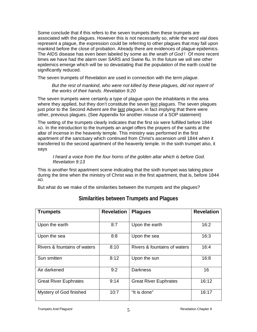Some conclude that if this refers to the seven trumpets then these trumpets are associated with the plagues. However this is not necessarily so, while the word *vial* does represent a plague, the expression could be referring to other plagues that may fall upon mankind before the close of probation. Already there are evidences of plague epidemics. The AIDS disease has even been labeled by some as *the wrath of God* ! Of more recent times we have had the alarm over SARS and Swine flu. In the future we will see other epidemics emerge which will be so devastating that the population of the earth could be significantly reduced.

The seven trumpets of Revelation are used in connection with the term *plague*.

But the rest of mankind, who were not killed by these plagues, did not repent of *the works of their hands. Revelation 9:20*

The seven trumpets were certainly a type of plague upon the inhabitants in the area where they applied, but they don't constitute the seven last plagues. The seven plagues just prior to the Second Advent are the last plagues, in fact implying that there were other, previous plagues. (See Appendix for another misuse of a SOP statement)

The setting of the trumpets clearly indicates that the first six were fulfilled before 1844 AD. In the introduction to the trumpets an angel offers the prayers of the saints at the altar of incense in the heavenly temple. This ministry was performed in the first apartment of the sanctuary which continued from Christ's ascension until 1844 when it transferred to the second apartment of the heavenly temple. In the sixth trumpet also, it says

#### *I heard a voice from the four horns of the golden altar which is before God. Revelation 9:13*

This is another first apartment scene indicating that the sixth trumpet was taking place during the time when the ministry of Christ was in the first apartment, that is, before 1844 AD.

<span id="page-4-0"></span>But what do we make of the similarities between the trumpets and the plagues?

| <b>Trumpets</b>              | <b>Revelation</b> | <b>Plagues</b>               | <b>Revelation</b> |
|------------------------------|-------------------|------------------------------|-------------------|
| Upon the earth               | 8:7               | Upon the earth               | 16:2              |
| Upon the sea                 | 8:8               | Upon the sea                 | 16:3              |
| Rivers & fountains of waters | 8:10              | Rivers & fountains of waters | 16:4              |
| Sun smitten                  | 8:12              | Upon the sun                 | 16:8              |
| Air darkened                 | 9:2               | <b>Darkness</b>              | 16                |
| <b>Great River Euphrates</b> | 9:14              | <b>Great River Euphrates</b> | 16:12             |
| Mystery of God finished      | 10:7              | "It is done"                 | 16:17             |

### **Similarities between Trumpets and Plagues**

Trumpets And Plagues! Trumpets And Plagues!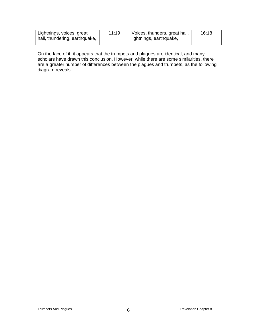| Lightnings, voices, great<br>hail, thundering, earthquake, | 11:19 | Voices, thunders, great hail,<br>lightnings, earthquake, | 16:18 |
|------------------------------------------------------------|-------|----------------------------------------------------------|-------|
|                                                            |       |                                                          |       |

On the face of it, it appears that the trumpets and plagues are identical, and many scholars have drawn this conclusion. However, while there are some similarities, there are a greater number of differences between the plagues and trumpets, as the following diagram reveals.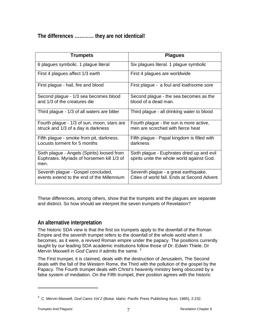# <span id="page-6-0"></span>**The differences ………… they are not identical!**

| <b>Trumpets</b>                                                                                   | <b>Plagues</b>                                                                           |
|---------------------------------------------------------------------------------------------------|------------------------------------------------------------------------------------------|
| 6 plagues symbolic. 1 plague literal                                                              | Six plagues literal. 1 plague symbolic                                                   |
| First 4 plagues affect 1/3 earth                                                                  | First 4 plagues are worldwide                                                            |
| First plague - hail, fire and blood                                                               | First plague - a foul and loathsome sore                                                 |
| Second plague - 1/3 sea becomes blood<br>and 1/3 of the creatures die                             | Second plague - the sea becomes as the<br>blood of a dead man.                           |
| Third plague - 1/3 of all waters are bitter                                                       | Third plague - all drinking water to blood                                               |
| Fourth plague - 1/3 of sun, moon, stars are<br>struck and 1/3 of a day is darkness                | Fourth plague - the sun is more active,<br>men are scorched with fierce heat             |
| Fifth plague - smoke from pit, darkness.<br>Locusts torment for 5 months                          | Fifth plague - Papal kingdom is filled with<br>darkness                                  |
| Sixth plague - Angels (Spirits) loosed from<br>Euphrates. Myriads of horsemen kill 1/3 of<br>men. | Sixth plague - Euphrates dried up and evil<br>spirits unite the whole world against God. |
| Seventh plague - Gospel concluded,<br>events extend to the end of the Millennium                  | Seventh plague - a great earthquake.<br>Cities of world fall. Ends at Second Advent.     |

These differences, among others, show that the trumpets and the plagues are separate and distinct. So how should we interpret the seven trumpets of Revelation?

#### <span id="page-6-1"></span>**An alternative interpretation**

The historic SDA view is that the first six trumpets apply to the downfall of the Roman Empire and the seventh trumpet refers to the downfall of the whole world when it becomes, as it were, a revived Roman empire under the papacy. The positions currently taught by our leading SDA academic institutions follow those of Dr. Edwin Thiele. Dr Mervin Maxwell in *God Cares II* admits the same. [3](#page-6-2)

The First trumpet, it is claimed, deals with the destruction of Jerusalem, The Second deals with the fall of the Western Rome, the Third with the pollution of the gospel by the Papacy. The Fourth trumpet deals with Christ's heavenly ministry being obscured by a false system of mediation. On the Fifth trumpet, their position agrees with the historic

<span id="page-6-2"></span><sup>&</sup>lt;sup>3</sup> C. Mervin Maxwell, *God Cares Vol 2* (Boise, Idaho: Pacific Press Publishing Assn, 1985), 2:232.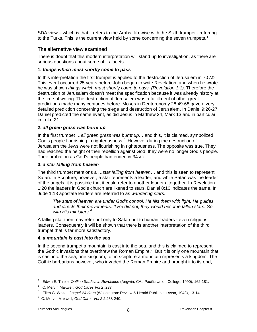SDA view – which is that it refers to the Arabs; likewise with the Sixth trumpet - referring to the Turks. This is the current view held by some concerning the seven trumpets. $^4$  $^4$ 

#### <span id="page-7-0"></span>**The alternative view examined**

There is doubt that this modern interpretation will stand up to investigation, as there are serious questions about some of its facets.

#### **1.** *things which must shortly come to pass*

In this interpretation the first trumpet is applied to the destruction of Jerusalem in 70 AD. This event occurred 25 years before John began to write Revelation, and when he wrote he was shown *things which must shortly come to pass. (Revelation 1:1)*. Therefore the destruction of Jerusalem doesn't meet the specification because it was already history at the time of writing. The destruction of Jerusalem was a fulfillment of other great predictions made many centuries before. Moses in Deuteronomy 28:49-68 gave a very detailed prediction concerning the siege and destruction of Jerusalem. In Daniel 9:26-27 Daniel predicted the same event, as did Jesus in Matthew 24, Mark 13 and in particular, in Luke 21.

#### **2.** *all green grass was burnt up*

In the first trumpet *…all green grass was burnt up…* and this, it is claimed, symbolized God's people flourishing in righteousness.<sup>[5](#page-7-2)</sup> However during the destruction of Jerusalem the Jews were not flourishing in righteousness. The opposite was true. They had reached the height of their rebellion against God: they were no longer God's people. Their probation as God's people had ended in 34 AD.

#### **3.** *a star falling from heaven*

The third trumpet mentions a …*star falling from heaven*… and this is seen to represent Satan. In Scripture, however, a star represents a leader, and while Satan was the leader of the angels, it is possible that it could refer to another leader altogether. In Revelation 1:20 the leaders in God's church are likened to stars. Daniel 8:10 indicates the same. In Jude 1:13 apostate leaders are referred to as *wandering stars*.

*The stars of heaven are under God's control. He fills them with light. He guides and directs their movements. If He did not, they would become fallen stars. So with His ministers.[6](#page-7-3)*

A falling star then may refer not only to Satan but to human leaders - even religious leaders. Consequently it will be shown that there is another interpretation of the third trumpet that is far more satisfactory.

#### **4.** *a mountain is cast into the sea*

In the second trumpet a mountain is cast into the sea, and this is claimed to represent the Gothic invasions that overthrew the Roman Empire.<sup>[7](#page-7-4)</sup> But it is only one mountain that is cast into the sea, one kingdom, for in scripture a mountain represents a kingdom. The Gothic barbarians however, who invaded the Roman Empire and brought it to its end,

<span id="page-7-1"></span><sup>4</sup> Edwin E. Thiele, *Outline Studies in Revelation* (Angwin, CA.: Pacific Union College, 1990), 162-181.

<sup>5</sup> C. Mervin Maxwell, *God Cares Vol 2* :237.

<span id="page-7-3"></span><span id="page-7-2"></span><sup>6</sup> Ellen G. White, *Gospel Workers* (Washington: Review & Herald Publishing Assn, 1948), 13-14.

<span id="page-7-4"></span><sup>7</sup> C. Mervin Maxwell, *God Cares Vol 2* 2:238-240.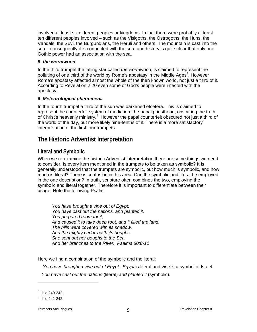involved at least six different peoples or kingdoms. In fact there were probably at least ten different peoples involved – such as the Visigoths, the Ostrogoths, the Huns, the Vandals, the Suvi, the Burgundians, the Heruli and others. The mountain is cast into the sea – consequently it is connected with the sea, and history is quite clear that only one Gothic power had an association with the sea.

#### **5.** *the wormwood*

In the third trumpet the falling star called *the wormwood*, is claimed to represent the polluting of one third of the world by Rome's apostasy in the Middle Ages<sup>[8](#page-8-2)</sup>. However Rome's apostasy affected almost the whole of the then known world, not just a third of it. According to Revelation 2:20 even some of God's people were infected with the apostasy.

#### *6. Meteorological phenomena*

In the fourth trumpet a third of the sun was darkened etcetera. This is claimed to represent the counterfeit system of mediation, the papal priesthood, obscuring the truth of Christ's heavenly ministry.<sup>[9](#page-8-3)</sup> However the papal counterfeit obscured not just a third of the world of the day, but more likely nine-tenths of it. There is a more satisfactory interpretation of the first four trumpets.

# <span id="page-8-0"></span>**The Historic Adventist Interpretation**

#### <span id="page-8-1"></span>**Literal and Symbolic**

When we re-examine the historic Adventist interpretation there are some things we need to consider. Is every item mentioned in the trumpets to be taken as symbolic? It is generally understood that the trumpets are symbolic, but how much is symbolic, and how much is literal? There is confusion in this area. Can the symbolic and literal be employed in the one description? In truth, scripture often combines the two, employing the symbolic and literal together. Therefore it is important to differentiate between their usage. Note the following Psalm

*You have brought a vine out of Egypt; You have cast out the nations, and planted it. You prepared room for it, And caused it to take deep root, and it filled the land. The hills were covered with its shadow, And the mighty cedars with its boughs. She sent out her boughs to the Sea, And her branches to the River. Psalms 80:8-11*

Here we find a combination of the symbolic and the literal:

 *You have brought a vine out of Egypt. Egypt* is literal and *vine* is a symbol of Israel.

 *You have cast out the nations* (literal) *and planted it* (symbolic).

 $8$  Ibid 240-242.

<span id="page-8-3"></span><span id="page-8-2"></span> $^9$  Ibid 241-242.

Trumpets And Plagues! Trumpets And Plagues! And Revelation Chapter 8 9 and Revelation Chapter 8 9 and Revelation Chapter 8 9 and Revelation Chapter 8 and Revelation Chapter 8 and Revelation Chapter 8 and Revelation Chapter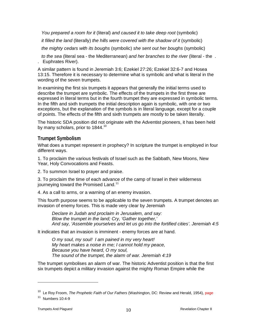*You prepared a room for it* (literal) *and caused it to take deep root* (symbolic)

 *it filled the land* (literally) *the hills were covered with the shadow of it* (symbolic)

 *the mighty cedars with its boughs* (symbolic) *she sent out her boughs* (symbolic)

 *to the sea* (literal sea - the Mediterranean) *and her branches to the river* (literal - the . . Euphrates River).

A similar pattern is found in Jeremiah 3:6; Ezekiel 27:26; Ezekiel 32:6-7 and Hosea 13:15. Therefore it is necessary to determine what is symbolic and what is literal in the wording of the seven trumpets.

In examining the first six trumpets it appears that generally the initial terms used to describe the trumpet are symbolic. The effects of the trumpets in the first three are expressed in literal terms but in the fourth trumpet they are expressed in symbolic terms. In the fifth and sixth trumpets the initial description again is symbolic, with one or two exceptions, but the explanation of the symbols is in literal language, except for a couple of points. The effects of the fifth and sixth trumpets are mostly to be taken literally.

<span id="page-9-0"></span>The historic SDA position did not originate with the Adventist pioneers, it has been held by many scholars, prior to  $1844.^{10}$  $1844.^{10}$  $1844.^{10}$ 

#### **Trumpet Symbolism**

What does a trumpet represent in prophecy? In scripture the trumpet is employed in four different ways.

1. To proclaim the various festivals of Israel such as the Sabbath, New Moons, New Year, Holy Convocations and Feasts.

2. To summon Israel to prayer and praise.

3. To proclaim the time of each advance of the camp of Israel in their wilderness journeying toward the Promised Land.<sup>[11](#page-9-2)</sup>

4. As a call to arms, or a warning of an enemy invasion.

This fourth purpose seems to be applicable to the seven trumpets. A trumpet denotes an invasion of enemy forces. This is made very clear by Jeremiah

*Declare in Judah and proclaim in Jerusalem, and say: Blow the trumpet in the land; Cry, 'Gather together,' And say, 'Assemble yourselves and let us go into the fortified cities'. Jeremiah 4:5*

It indicates that an invasion is imminent - enemy forces are at hand.

*O my soul, my soul! I am pained in my very heart! My heart makes a noise in me; I cannot hold my peace, Because you have heard, O my soul, The sound of the trumpet, the alarm of war. Jeremiah 4:19* 

The trumpet symbolises an alarm of war. The historic Adventist position is that the first six trumpets depict a military invasion against the mighty Roman Empire while the

<span id="page-9-1"></span><sup>10</sup> Le Roy Froom, *The Prophetic Faith of Our Fathers* (Washington, DC: Review and Herald, 1954), page

<span id="page-9-2"></span> $11$  Numbers 10:4-9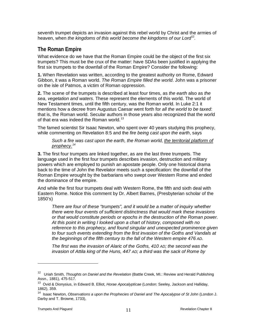seventh trumpet depicts an invasion against this rebel world by Christ and the armies of heaven, when *the kingdoms of this world become the kingdoms of our Lord*<sup>[12](#page-10-1)</sup>.

#### <span id="page-10-0"></span>**The Roman Empire**

What evidence do we have that the Roman Empire could be the object of the first six trumpets? This must be the crux of the matter: have SDAs been justified in applying the first six trumpets to the downfall of the Roman Empire? Consider the following:

**1.** When Revelation was written, according to the greatest authority on Rome, Edward Gibbon, it was a Roman world. *The Roman Empire filled the world*. John was a prisoner on the isle of Patmos, a victim of Roman oppression.

**2.** The scene of the trumpets is described at least four times, as *the earth* also as *the sea*, *vegetation and waters*. These represent the elements of this world. The world of New Testament times, until the fifth century, was the Roman world. In Luke 2:1 it mentions how a decree from Augustus Caesar went forth for *all the world to be taxed*: that is, the Roman world. Secular authors in those years also recognized that the world of that era was indeed the Roman world.<sup>[13](#page-10-2)</sup>

The famed scientist Sir Isaac Newton, who spent over 40 years studying this prophecy, while commenting on Revelation 8:5 and the *fire being cast upon the earth*, says

Such a fire was cast upon the earth, the Roman world, the territorial platform of *prophecy.[14](#page-10-3)*

**3.** The first four trumpets are linked together, as are the last three trumpets. The language used in the first four trumpets describes invasion, destruction and military powers which are employed to punish an apostate people. Only one historical drama back to the time of John the Revelator meets such a specification: the downfall of the Roman Empire wrought by the barbarians who swept over Western Rome and ended the dominance of the empire.

And while the first four trumpets deal with Western Rome, the fifth and sixth deal with Eastern Rome. Notice this comment by Dr. Albert Barnes, (Presbyterian scholar of the 1850's)

*There are four of these "trumpets", and it would be a matter of inquiry whether there were four events of sufficient distinctness that would mark these invasions or that would constitute periods or epochs in the destruction of the Roman power. At this point in writing I looked upon a chart of history, composed with no reference to this prophecy, and found singular and unexpected prominence given to four such events extending from the first invasion of the Goths and Vandals at the beginnings of the fifth century to the fall of the Western empire 476 AD.*

*The first was the invasion of Alaric of the Goths, 410 AD; the second was the invasion of Attila king of the Huns, 447 AD; a third was the sack of Rome by* 

<span id="page-10-1"></span><sup>&</sup>lt;sup>12</sup> Uriah Smith, *Thoughts on Daniel and the Revelation* (Battle Creek, MI.: Review and Herald Publishing Assn., 1881), 475-517.

<span id="page-10-2"></span><sup>13</sup> Ovid & Dionysius, in Edward B. Elliot, *Horae Apocalypticae* (London: Seeley, Jackson and Halliday, 1862), 359.

<span id="page-10-3"></span><sup>&</sup>lt;sup>14</sup> Isaac Newton, *Observations a upon the Prophecies of Daniel and The Apocalypse of St John* (London J. Darby and T. Browne, 1733),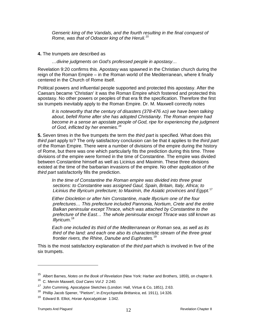*Genseric king of the Vandals, and the fourth resulting in the final conquest of Rome, was that of Odoacer king of the Heruli.[15](#page-11-0)*

#### **4.** The trumpets are described as

*…divine judgments on God's professed people in apostasy…*

Revelation 9:20 confirms this. Apostasy was spawned in the Christian church during the reign of the Roman Empire – in the Roman world of the Mediterranean, where it finally centered in the Church of Rome itself.

Political powers and influential people supported and protected this apostasy. After the Caesars became 'Christian' it was the Roman Empire which fostered and protected this apostasy. No other powers or peoples of that era fit the specification. Therefore the first six trumpets inevitably apply to the Roman Empire. Dr. M. Maxwell correctly notes

*It is noteworthy that the century of disasters (378-476 AD) we have been talking about, befell Rome after she has adopted Christianity. The Roman empire had*  become in a sense an apostate people of God, ripe for experiencing the judgment *of God, inflicted by her enemies.[16](#page-11-1)*

**5.** Seven times in the five trumpets the term the *third part* is specified. What does this *third part* apply to? The only satisfactory conclusion can be that it applies to the *third part* of the Roman Empire. There were a number of divisions of the empire during the history of Rome, but there was one which particularly fits the prediction during this time. Three divisions of the empire were formed in the time of Constantine. The empire was divided between Constantine himself as well as Licinius and Maximin. These three divisions existed at the time of the barbarian invasions of the empire. No other application of *the third part* satisfactorily fills the prediction.

*In the time of Constantine the Roman empire was divided into three great sections: to Constantine was assigned Gaul, Spain, Britain, Italy, Africa; to Licinius the Illyricum prefecture; to Maximin, the Asiatic provinces and Egypt.*[17](#page-11-2)

*Either Diocletion or after him Constantine, made Illycrium one of the four prefectures… This prefecture included Pannonia, Nortium, Crete and the entire Balkan peninsular except Thrace, which was attached by Constantine to the prefecture of the East… The whole peninsular except Thrace was still known as Illyricum.*[18](#page-11-3)

*Each one included its third of the Mediterranean or Roman sea, as well as its third of the land: and each one also its characteristic stream of the three great frontier rivers, the Rhine, Danube and Euphrates.* [19](#page-11-4)

This is the most satisfactory explanation of *the third part* which is involved in five of the six trumpets.

<span id="page-11-0"></span><sup>15</sup> Albert Barnes, *Notes on the Book of Revelation* (New York: Harber and Brothers, 1859), on chapter 8.

<span id="page-11-1"></span><sup>16</sup> C. Mervin Maxwell, *God Cares Vol 2* 2:240.

<span id="page-11-2"></span>*<sup>17</sup>* John Cumming, Apocalypse Sketches (London: Hall, Virtue & Co, 1851), 2:63.

<span id="page-11-3"></span><sup>18</sup> Phillip Jacob Spener, "Pietism", in *Encyclopedia Brittanica*, ed. 1911), 14:326*.*

<span id="page-11-4"></span><sup>19</sup> Edward B. Elliot, *Horae Apocalypticae* 1:342.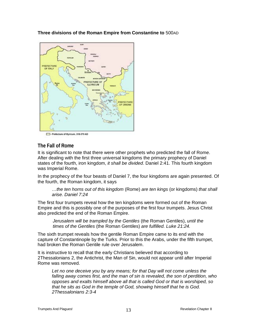**Three divisions of the Roman Empire from Constantine to** 500AD

<span id="page-12-0"></span>

- Prefecture of Illyricum, 318-379 AD

#### **The Fall of Rome**

It is significant to note that there were other prophets who predicted the fall of Rome. After dealing with the first three universal kingdoms the primary prophecy of Daniel states of the fourth, iron kingdom, *it shall be divided*. Daniel 2:41. This fourth kingdom was Imperial Rome.

In the prophecy of the four beasts of Daniel 7, the four kingdoms are again presented. Of the fourth, the Roman kingdom, it says

*…the ten horns out of this kingdom* (Rome) *are ten kings* (or kingdoms) *that shall arise. Daniel 7:24* 

The first four trumpets reveal how the ten kingdoms were formed out of the Roman Empire and this is possibly one of the purposes of the first four trumpets. Jesus Christ also predicted the end of the Roman Empire.

*Jerusalem will be trampled by the Gentiles* (the Roman Gentiles), *until the times of the Gentiles* (the Roman Gentiles) *are fulfilled. Luke 21:24.* 

The sixth trumpet reveals how the gentile Roman Empire came to its end with the capture of Constantinople by the Turks. Prior to this the Arabs, under the fifth trumpet, had broken the Roman Gentile rule over Jerusalem.

It is instructive to recall that the early Christians believed that according to 2Thessalonians 2, the Antichrist, the Man of Sin, would not appear until after Imperial Rome was removed.

Let no one deceive you by any means; for that Day will not come unless the *falling away comes first, and the man of sin is revealed, the son of perdition, who opposes and exalts himself above all that is called God or that is worshiped, so that he sits as God in the temple of God, showing himself that he is God. 2Thessalonians 2:3-4*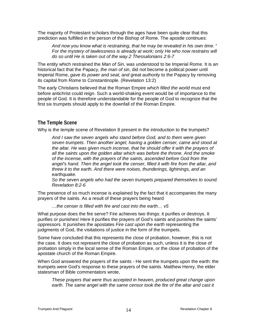The majority of Protestant scholars through the ages have been quite clear that this prediction was fulfilled in the person of the Bishop of Rome. The apostle continues:

*And now you know what is restraining, that he may be revealed in his own time. <sup>7</sup> For the mystery of lawlessness is already at work; only He who now restrains will do so until He is taken out of the way.2 Thessalonians 2:6-7*

The entity which restrained the *Man of Sin*, was understood to be Imperial Rome. It is an historical fact that the Papacy, *the man of sin*, did not become a political power until Imperial Rome, *gave its power and seat, and great authority* to the Papacy by removing its capital from Rome to Constantinople. (Revelation 13:2)

The early Christians believed that the Roman Empire *which filled the world* must end before antichrist could reign. Such a world-shaking event would be of importance to the people of God. It is therefore understandable for the people of God to recognize that the first six trumpets should apply to the downfall of the Roman Empire.

#### <span id="page-13-0"></span>**The Temple Scene**

Why is the temple scene of Revelation 8 present in the introduction to the trumpets?

*And I saw the seven angels who stand before God, and to them were given seven trumpets. Then another angel, having a golden censer, came and stood at the altar. He was given much incense, that he should offer it with the prayers of all the saints upon the golden altar which was before the throne. And the smoke of the incense, with the prayers of the saints, ascended before God from the angel's hand. Then the angel took the censer, filled it with fire from the altar, and threw it to the earth. And there were noises, thunderings, lightnings, and an earthquake.*

*So the seven angels who had the seven trumpets prepared themselves to sound. Revelation 8:2-6*

The presence of so much incense is explained by the fact that it accompanies the many prayers of the saints. As a result of these prayers being heard

*…the censer is filled with fire and cast into the earth… v5*

What purpose does the fire serve? Fire achieves two things: it purifies or destroys. It purifies or punishes! Here it purifies the prayers of God's saints and punishes the saints' oppressors. It punishes the apostates *Fire cast upon the earth* representing the judgments of God, the visitations of justice in the form of the trumpets.

Some have concluded that this represents the close of probation, however, this is not the case. It does not represent the close of probation as such, unless it is the close of probation simply in the local sense of the Roman Empire, or the close of probation of the apostate church of the Roman Empire.

When God answered the prayers of the saints - He sent the trumpets upon the earth: the trumpets were God's response to these prayers of the saints. Matthew Henry, the elder statesman of Bible commentators wrote,

*These prayers that were thus accepted in heaven, produced great change upon earth. The same angel with the same censor took the fire of the altar and cast it*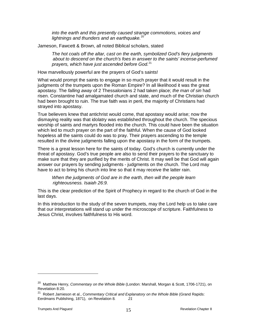*into the earth and this presently caused strange commotions, voices and lightnings and thunders and an earthquake.*[20](#page-14-0)

Jameson, Fawcett & Brown, all noted Biblical scholars, stated

*The hot coals off the altar, cast on the earth, symbolized God's fiery judgments about to descend on the church's foes in answer to the saints' incense-perfumed prayers, which have just ascended before God.*[21](#page-14-1)

How marvellously powerful are the prayers of God's saints!

What would prompt the saints to engage in so much prayer that it would result in the judgments of the trumpets upon the Roman Empire? In all likelihood it was the great apostasy. The *falling away* of 2 Thessalonians 2 had taken place; *the man of sin* had risen. Constantine had amalgamated church and state, and much of the Christian church had been brought to ruin. The true faith was in peril, the majority of Christians had strayed into apostasy.

True believers knew that antichrist would come, that apostasy would arise; now the dismaying reality was that idolatry was established throughout the church. The specious worship of saints and martyrs flooded into the church. This could have been the situation which led to much prayer on the part of the faithful. When the cause of God looked hopeless all the saints could do was to pray. Their prayers ascending to the temple resulted in the divine judgments falling upon the apostasy in the form of the trumpets.

There is a great lesson here for the saints of today. God's church is currently under the threat of apostasy. God's true people are also to send their prayers to the sanctuary to make sure that they are purified by the merits of Christ. It may well be that God will again answer our prayers by sending judgments - judgments on the church. The Lord may have to act to bring his church into line so that it may receive the latter rain.

*When the judgments of God are in the earth, then will the people learn righteousness. Isaiah 26:9.*

This is the clear prediction of the Spirit of Prophecy in regard to the church of God in the last days.

In this introduction to the study of the seven trumpets, may the Lord help us to take care that our interpretations will stand up under the microscope of scripture. Faithfulness to Jesus Christ, involves faithfulness to His word.

<span id="page-14-0"></span><sup>20</sup> Matthew Henry, *Commentary on the Whole Bible* (London: Marshall, Morgan & Scott, 1706-1721), on Revelation 8:20.

<span id="page-14-1"></span><sup>&</sup>lt;sup>21</sup> Robert Jamieson et al., *Commentary Critical and Explanatory on the Whole Bible* (Grand Rapids: Eerdmans Publishing, 1871), on Revelation 8*. 21*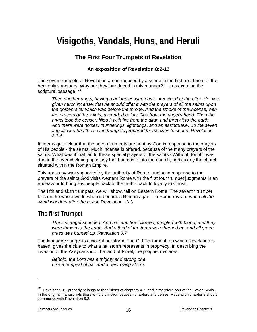# <span id="page-15-0"></span>**Visigoths, Vandals, Huns, and Heruli**

# **The First Four Trumpets of Revelation**

#### **An exposition of Revelation 8:2-13**

The seven trumpets of Revelation are introduced by a scene in the first apartment of the heavenly sanctuary. Why are they introduced in this manner? Let us examine the scriptural passage.  $^{22}$ 

*Then another angel, having a golden censer, came and stood at the altar. He was given much incense, that he should offer it with the prayers of all the saints upon the golden altar which was before the throne. And the smoke of the incense, with the prayers of the saints, ascended before God from the angel's hand. Then the angel took the censer, filled it with fire from the altar, and threw it to the earth. And there were noises, thunderings, lightnings, and an earthquake. So the seven angels who had the seven trumpets prepared themselves to sound. Revelation 8:3-6.* 

It seems quite clear that the seven trumpets are sent by God in response to the prayers of His people - the saints. Much incense is offered, because of the many prayers of the saints. What was it that led to these special prayers of the saints? Without doubt it was due to the overwhelming apostasy that had come into the church, particularly the church situated within the Roman Empire.

This apostasy was supported by the authority of Rome, and so in response to the prayers of the saints God visits western Rome with the first four trumpet judgments in an endeavour to bring His people back to the truth - back to loyalty to Christ.

The fifth and sixth trumpets, we will show, fell on Eastern Rome. The seventh trumpet falls on the whole world when it becomes Roman again – a Rome revived when *all the world wonders after the beast*. Revelation 13:3

# <span id="page-15-1"></span>**The first Trumpet**

*The first angel sounded: And hail and fire followed, mingled with blood, and they were thrown to the earth. And a third of the trees were burned up, and all green grass was burned up. Revelation 8:7*

The language suggests a violent hailstorm. The Old Testament, on which Revelation is based, gives the clue to what a hailstorm represents in prophecy. In describing the invasion of the Assyrians into the land of Israel, the prophet declares

*Behold, the Lord has a mighty and strong one, Like a tempest of hail and a destroying storm,* 

<span id="page-15-2"></span><sup>&</sup>lt;sup>22</sup> Revelation 8:1 properly belongs to the visions of chapters 4-7, and is therefore part of the Seven Seals. In the original manuscripts there is no distinction between chapters and verses. Revelation chapter 8 should commence with Revelation 8:2.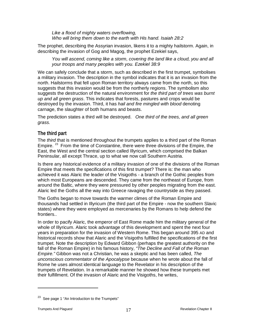*Like a flood of mighty waters overflowing, Who will bring them down to the earth with His hand. Isaiah 28:2*

The prophet, describing the Assyrian invasion, likens it to a mighty hailstorm. Again, in describing the invasion of Gog and Magog, the prophet Ezekiel says,

*You will ascend, coming like a storm, covering the land like a cloud, you and all your troops and many peoples with you. Ezekiel 38:9*

We can safely conclude that a storm, such as described in the first trumpet, symbolises a military invasion. The description in the symbol indicates that it is an invasion from the north. Hailstorms that fell upon Roman territory always came from the north, so this suggests that this invasion would be from the northerly regions. The symbolism also suggests the destruction of the natural environment for *the third part of trees was burnt up and all green grass*. This indicates that forests, pastures and crops would be destroyed by the invasion. Third, it has *hail and fire mingled with blood* denoting carnage, the slaughter of both humans and beasts.

The prediction states a third will be destroyed. *One third of the trees, and all green grass.*

#### **The third part**

The *third* that is mentioned throughout the trumpets applies to a third part of the Roman Empire.  $23$  From the time of Constantine, there were three divisions of the Empire, the East, the West and the central section called Illyricum, which comprised the Balkan Peninsular, all except Thrace, up to what we now call Southern Austria.

Is there any historical evidence of a military invasion of one of the divisions of the Roman Empire that meets the specifications of this first trumpet? There is: the man who achieved it was Alaric the leader of the Visigoths - a branch of the Gothic peoples from which most Europeans are descended. They came from the northeast of Europe, from around the Baltic, where they were pressured by other peoples migrating from the east. Alaric led the Goths all the way into Greece ravaging the countryside as they passed.

The Goths began to move towards the warmer climes of the Roman Empire and thousands had settled in Illyricum (the third part of the Empire - now the southern Slavic states) where they were employed as mercenaries by the Romans to help defend the frontiers..

In order to pacify Alaric, the emperor of East Rome made him the military general of the whole of Illyricum. Alaric took advantage of this development and spent the next four years in preparation for the invasion of Western Rome. This began around 395 AD and historical records show that Alaric and the Visigoths fulfilled the specifications of the first trumpet. Note the description by Edward Gibbon (perhaps the greatest authority on the fall of the Roman Empire) in his famous history, *"The Decline and Fall of the Roman Empire."* Gibbon was not a Christian, he was a skeptic and has been called, *The unconscious commentator of the Apocalypse* because when he wrote about the fall of Rome he uses almost identical language to the Revelator in his description of the trumpets of Revelation. In a remarkable manner he showed how these trumpets met their fulfillment. Of the invasion of Alaric and the Visigoths, he writes,

<span id="page-16-0"></span> $23$  See page 1 "An Introduction to the Trumpets"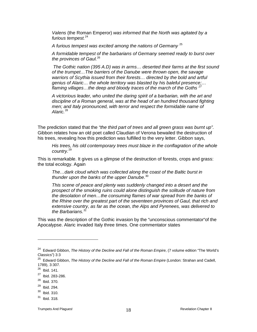*Valens* (the Roman Emperor) *was informed that the North was agitated by a furious tempest.*[24](#page-17-0)

*A furious tempest was excited among the nations of Germany* [25](#page-17-1)

*A formidable tempest of the barbarians of Germany seemed ready to burst over the provinces of Gaul.*[26](#page-17-2)

*The Gothic nation (395 A.D) was in arms… deserted their farms at the first sound of the trumpet…The barriers of the Danube were thrown open, the savage warriors of Scythia issued from their forests… directed by the bold and artful genius of Alaric… the whole territory was blasted by his baleful presence;… flaming villages…the deep and bloody traces of the march of the Goths [27](#page-17-3)*

*A victorious leader, who united the daring spirit of a barbarian, with the art and*  discipline of a Roman general, was at the head of an hundred thousand fighting *men; and Italy pronounced, with terror and respect the formidable name of*  Alaric.<sup>[28](#page-17-4)</sup>

The prediction stated that the *"the third part of trees and all green grass was burnt up".*  Gibbon relates how an old poet called Claudian of Verona bewailed the destruction of his trees, revealing how this prediction was fulfilled to the very letter. Gibbon says,

*His trees, his old contemporary trees must blaze in the conflagration of the whole country.*[29](#page-17-5)

This is remarkable. It gives us a glimpse of the destruction of forests, crops and grass: the total ecology. Again

*The…dark cloud which was collected along the coast of the Baltic burst in thunder upon the banks of the upper Danube.*[30](#page-17-6)

*This scene of peace and plenty was suddenly changed into a desert and the prospect of the smoking ruins could alone distinguish the solitude of nature from the desolation of men…the consuming flames of war spread from the banks of the Rhine over the greatest part of the seventeen provinces of Gaul, that rich and extensive country, as far as the ocean, the Alps and Pyrenees, was delivered to the Barbarians.[31](#page-17-7)*

This was the description of the Gothic invasion by the "unconscious commentator"of the Apocalypse. Alaric invaded Italy three times. One commentator states

<span id="page-17-0"></span><sup>24</sup> Edward Gibbon, *The History of the Decline and Fall of the Roman Empire*, (7 volume edition "The World's Classics") 3:3

<span id="page-17-1"></span><sup>&</sup>lt;sup>25</sup> Edward Gibbon, *The History of the Decline and Fall of the Roman Empire* (London: Strahan and Cadell, 1789), 3:307.

<span id="page-17-2"></span> $26$  Ibid. 141.

<span id="page-17-3"></span> $27$  Ibid. 283-286.

<span id="page-17-4"></span> $28$  Ibid. 370.

<span id="page-17-5"></span> $29$  Ibid. 294.

<span id="page-17-6"></span> $30$  Ibid. 310.

<span id="page-17-7"></span> $31$  Ibid. 318.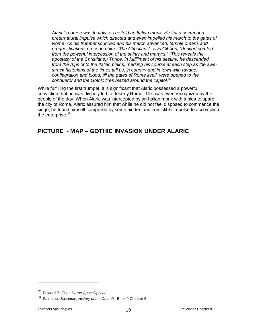*Alaric's course was to Italy, as he told an Italian monk. He felt a secret and preternatural impulse which directed and even impelled his march to the gates of Rome. As his trumpet sounded and his march advanced, terrible omens and prognostications preceded him. "The Christians" says Gibbon, "derived comfort from the powerful intercession of the saints and martyrs." (This reveals the apostasy of the Christians.) Thrice, in fulfillment of his destiny, he descended from the Alps onto the Italian plains, marking his course at each step as the awestruck historians of the times tell us, in country and in town with ravage, conflagration and blood, till the gates of Rome itself were opened to the conqueror and the Gothic fires blazed around the capitol.*[32](#page-18-0)

While fulfilling the first trumpet, it is significant that Alaric possessed a powerful conviction that he was divinely led to destroy Rome. This was even recognized by the people of the day. When Alaric was intercepted by an Italian monk with a plea to spare the city of Rome, Alaric assured him that while he did not feel disposed to commence the siege, he found himself compelled by some hidden and irresistible impulse to accomplish the enterprise.<sup>33</sup>

# **PICTURE - MAP – GOTHIC INVASION UNDER ALARIC**

<span id="page-18-0"></span><sup>32</sup> Edward B. Elliot, *Horae Apocalypticae* 

<span id="page-18-1"></span><sup>33</sup> Salminius Sozoman, *History of the Church,* Book 9 Chapter 6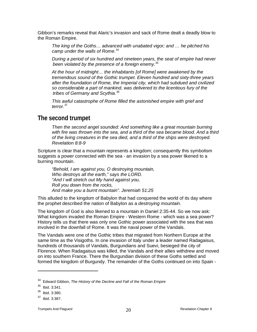Gibbon's remarks reveal that Alaric's invasion and sack of Rome dealt a deadly blow to the Roman Empire.

*The king of the Goths… advanced with unabated vigor; and … he pitched his camp under the walls of Rome.*[34](#page-19-1)

*During a period of six hundred and nineteen years, the seat of empire had never been violated by the presence of a foreign enemy.*[35](#page-19-2)

*At the hour of midnight… the inhabitants [of Rome] were awakened by the tremendous sound of the Gothic trumpet. Eleven hundred and sixty-three years after the foundation of Rome, the Imperial city, which had subdued and civilized so considerable a part of mankind, was delivered to the licentious fury of the tribes of Germany and Scythia.*[36](#page-19-3)

*This awful catastrophe of Rome filled the astonished empire with grief and terror.*[37](#page-19-4)

# <span id="page-19-0"></span>**The second trumpet**

*Then the second angel sounded: And something like a great mountain burning*  with fire was thrown into the sea, and a third of the sea became blood. And a third *of the living creatures in the sea died, and a third of the ships were destroyed. Revelation 8:8-9*

Scripture is clear that a mountain represents a kingdom; consequently this symbolism suggests a power connected with the sea - an invasion by a sea power likened to a burning mountain.

*"Behold, I am against you, O destroying mountain, Who destroys all the earth," says the LORD. "And I will stretch out My hand against you, Roll you down from the rocks, And make you a burnt mountain". Jeremiah 51:25*

This alluded to the kingdom of Babylon that had conquered the world of its day where the prophet described the nation of Babylon as a *destroying mountain.*

The kingdom of God is also likened to a mountain in Daniel 2:35-44. So we now ask: What kingdom invaded the Roman Empire - Western Rome - which was a sea power? History tells us that there was only one Gothic power associated with the sea that was involved in the downfall of Rome. It was the naval power of the Vandals.

The Vandals were one of the Gothic tribes that migrated from Northern Europe at the same time as the Visigoths. In one invasion of Italy under a leader named Radagaisus, hundreds of thousands of Vandals, Burgundians and Suevi, besieged the city of Florence. When Radagaisus was killed, the Vandals and their allies withdrew and moved on into southern France. There the Burgundian division of these Goths settled and formed the kingdom of Burgundy. The remainder of the Goths continued on into Spain -

<span id="page-19-1"></span><sup>34</sup> Edward Gibbon, *The History of the Decline and Fall of the Roman Empire* 

<span id="page-19-2"></span> $35$  Ibid. 3:341.

 $36$  Ibid. 3:380.

<span id="page-19-4"></span><span id="page-19-3"></span><sup>37</sup> Ibid. 3:387.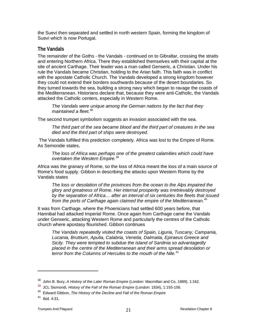the Suevi then separated and settled in north western Spain, forming the kingdom of Suevi which is now Portugal.

#### **The Vandals**

The remainder of the Goths - the Vandals - continued on to Gibraltar, crossing the straits and entering Northern Africa. There they established themselves with their capital at the site of ancient Carthage. Their leader was a man called Genseric, a Christian. Under his rule the Vandals became Christian, holding to the Arian faith. This faith was in conflict with the apostate Catholic Church. The Vandals developed a strong kingdom however they could not extend their borders southwards because of the desert boundaries. So they turned towards the sea, building a strong navy which began to ravage the coasts of the Mediterranean. Historians declare that, because they were anti-Catholic, the Vandals attacked the Catholic centers, especially in Western Rome.

*The Vandals were unique among the German nations by the fact that they maintained a fleet.*[38](#page-20-0)

The second trumpet symbolism suggests an invasion associated with the sea.

*The third part of the sea became blood and the third part of creatures in the sea died and the third part of ships were destroyed.*

The Vandals fulfilled this prediction completely. Africa was lost to the Empire of Rome. As Semondie states,

*The loss of Africa was perhaps one of the greatest calamities which could have overtaken the Western Empire.*[39](#page-20-1)

Africa was the granary of Rome, so the loss of Africa meant the loss of a main source of Rome's food supply. Gibbon in describing the attacks upon Western Rome by the Vandals states

*The loss or desolation of the provinces from the ocean to the Alps impaired the glory and greatness of Rome. Her internal prosperity was irretrievably destroyed by the separation of Africa… after an interval of six centuries the fleets that issued from the ports of Carthage again claimed the empire of the Mediterranean.*[40](#page-20-2)

It was from Carthage, where the Phoenicians had settled 600 years before, that Hannibal had attacked Imperial Rome. Once again from Carthage came the Vandals under Genseric, attacking Western Rome and particularly the centres of the Catholic church where apostasy flourished. Gibbon continues

*The Vandals repeatedly visited the coasts of Spain, Liguria, Tuscany, Campania, Lucania, Bruttium, Apulia, Calabria, Venetia, Dalmatia, Epiraeus Greece and Sicily. They were tempted to subdue the island of Sardinia so advantagedly placed in the centre of the Mediterranean and their arms spread desolation or terror from the Columns of Hercules to the mouth of the Nile.*[41](#page-20-3)

<span id="page-20-0"></span><sup>38</sup> John B. Bury, *A History of the Later Roman Empire* (London: Macmillan and Co, 1889), 1:162.

<span id="page-20-1"></span><sup>39</sup> JCL Sismondi, *History of the Fall of the Roman Empire* (London: 1834), 1:155-156.

<span id="page-20-2"></span><sup>40</sup> Edward Gibbon, *The History of the Decline and Fall of the Roman Empire* 

<span id="page-20-3"></span> $41$  Ibid. 4:31.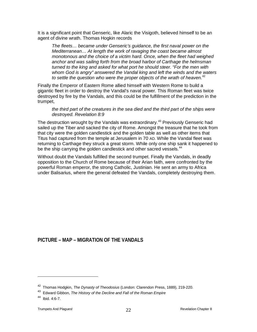It is a significant point that Genseric, like Alaric the Visigoth, believed himself to be an agent of divine wrath. Thomas Hogkin records

*The fleets… became under Genseric's guidance, the first naval power on the Mediterranean… At length the work of ravaging the coast became almost monotonous and the choice of a victim hard. Once, when the fleet had weighed anchor and was sailing forth from the broad harbor of Carthage the helmsman turned to the king and asked for what port he should steer. "For the men with whom God is angry" answered the Vandal king and left the winds and the waters to settle the question who were the proper objects of the wrath of heaven.*[42](#page-21-0)

Finally the Emperor of Eastern Rome allied himself with Western Rome to build a gigantic fleet in order to destroy the Vandal's naval power. This Roman fleet was twice destroyed by fire by the Vandals, and this could be the fulfillment of the prediction in the trumpet,

*the third part of the creatures in the sea died and the third part of the ships were destroyed. Revelation 8:9*

The destruction wrought by the Vandals was extraordinary.<sup>[43](#page-21-1)</sup> Previously Genseric had sailed up the Tiber and sacked the city of Rome. Amongst the treasure that he took from that city were the golden candlestick and the golden table as well as other items that Titus had captured from the temple at Jerusalem in 70 AD. While the Vandal fleet was returning to Carthage they struck a great storm. While only one ship sank it happened to be the ship carrying the golden candlestick and other sacred vessels.<sup>[44](#page-21-2)</sup>

Without doubt the Vandals fulfilled the second trumpet. Finally the Vandals, in deadly opposition to the Church of Rome because of their Arian faith, were confronted by the powerful Roman emperor, the strong Catholic, Justinian. He sent an army to Africa under Balisarius, where the general defeated the Vandals, completely destroying them.

#### **PICTURE – MAP – MIGRATION OF THE VANDALS**

<sup>42</sup> Thomas Hodgkin, *The Dynasty of Theodosius* (London: Clarendon Press, 1889), 219-220.

<span id="page-21-1"></span><span id="page-21-0"></span><sup>43</sup> Edward Gibbon, *The History of the Decline and Fall of the Roman Empire* 

<span id="page-21-2"></span> $44$  Ibid. 4:6-7.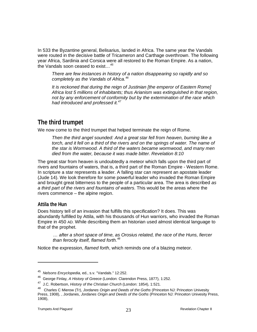In 533 the Byzantine general, Belisarius, landed in Africa. The same year the Vandals were routed in the decisive battle of Tricameron and Carthage overthrown. The following year Africa, Sardinia and Corsica were all restored to the Roman Empire. As a nation, the Vandals soon ceased to exist…*[45](#page-22-1)*

*There are few instances in history of a nation disappearing so rapidly and so completely as the Vandals of Africa.[46](#page-22-2)*

*It is reckoned that during the reign of Justinian [the emperor of Eastern Rome] Africa lost 5 millions of inhabitants; thus Arianism was extinguished in that region, not by any enforcement of conformity but by the extermination of the race which had introduced and professed it.[47](#page-22-3)*

# <span id="page-22-0"></span>**The third trumpet**

We now come to the third trumpet that helped terminate the reign of Rome.

*Then the third angel sounded: And a great star fell from heaven, burning like a*  torch, and it fell on a third of the rivers and on the springs of water. The name of *the star is Wormwood. A third of the waters became wormwood, and many men died from the water, because it was made bitter. Revelation 8:10*

The great star from heaven is undoubtedly a meteor which falls upon the third part of rivers and fountains of waters, that is, a third part of the Roman Empire - Western Rome. In scripture a star represents a leader. A falling star can represent an apostate leader (Jude 14). We look therefore for some powerful leader who invaded the Roman Empire and brought great bitterness to the people of a particular area. The area is described *as a third part of the rivers and fountains of waters*. This would be the areas where the rivers commence – the alpine region.

#### **Attila the Hun**

 $\overline{a}$ 

Does history tell of an invasion that fulfills this specification? It does. This was abundantly fulfilled by Attila, with his thousands of Hun warriors, who invaded the Roman Empire in 450 AD. While describing them an historian used almost identical language to that of the prophet.

*… after a short space of time, as Orosius related, the race of the Huns, fiercer than ferocity itself, flamed forth.[48](#page-22-4)*

Notice the expression, *flamed forth*, which reminds one of a blazing meteor.

<span id="page-22-1"></span><sup>45</sup> *Nelsons Encyclopedia*, ed., s.v. "Vandals." 12:252.

<sup>46</sup> George Finlay, *A History of Greece* (London: Clarendon Press, 1877), 1:252.

<span id="page-22-3"></span><span id="page-22-2"></span><sup>47</sup> J.C. Robertson, *History of the Christian Church* (London: 1854), 1:521.

<span id="page-22-4"></span><sup>48</sup> Charles C Mierow (Tr), *Jordanes Origin and Deeds of the Goths* (Princeton NJ: Princeton Univesity Press, 1908), , Jordanes, *Jordanes Origin and Deeds of the Goths* (Princeton NJ: Princeton Univesity Press, 1908),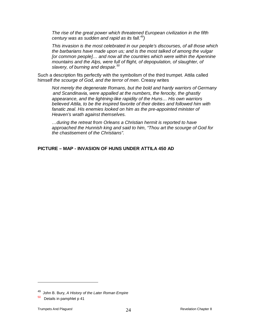*The rise of the great power which threatened European civilization in the fifth century was as sudden and rapid as its fall.[49\)](#page-23-0)*

*This invasion is the most celebrated in our people's discourses, of all those which the barbarians have made upon us; and is the most talked of among the vulgar [or common people]… and now all the countries which were within the Apennine mountains and the Alps, were full of flight, of depopulation, of slaughter, of slavery, of burning and despair.[50](#page-23-1)*

Such a description fits perfectly with the symbolism of the third trumpet. Attila called himself *the scourge of God, and the terror of men*. Creasy writes

*Not merely the degenerate Romans, but the bold and hardy warriors of Germany and Scandinavia, were appalled at the numbers, the ferocity, the ghastly appearance, and the lightning-like rapidity of the Huns… His own warriors believed Attila, to be the inspired favorite of their deities and followed him with*  fanatic zeal. His enemies looked on him as the pre-appointed minister of *Heaven's wrath against themselves.*

*…during the retreat from Orleans a Christian hermit is reported to have approached the Hunnish king and said to him, "Thou art the scourge of God for the chastisement of the Christians".* 

#### **PICTURE – MAP - INVASION OF HUNS UNDER ATTILA 450 AD**

<span id="page-23-0"></span><sup>49</sup> John B. Bury, *A History of the Later Roman Empire* 

<span id="page-23-1"></span> $50$  Details in pamphlet p 41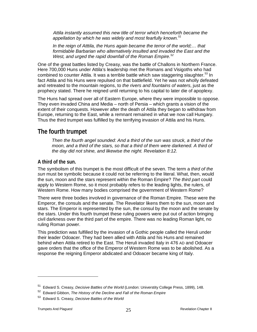*Attila instantly assumed this new title of terror which henceforth became the appellation by which he was widely and most fearfully known.[51](#page-24-1)*

In the reign of Atttila, the Huns again became the terror of the world;... that *formidable Barbarian who alternatively insulted and invaded the East and the West, and urged the rapid downfall of the Roman Empire.[52](#page-24-2)*

One of the great battles listed by Creasy, was the battle of Challons in Northern France. Here 700,000 Huns under Attila's leadership met the Romans and Visigoths who had combined to counter Attila. It was a terrible battle which saw staggering slaughter.<sup>[53](#page-24-3)</sup> In fact Attila and his Huns were repulsed on that battlefield. Yet he was not wholly defeated and retreated to the mountain regions, to *the rivers and fountains of waters*, just as the prophecy stated. There he reigned until returning to his capital to later die of apoplexy.

The Huns had spread over all of Eastern Europe, where they were impossible to oppose. They even invaded China and Media – north of Persia – which grants a vision of the extent of their conquests. However after the death of Attila they began to withdraw from Europe, returning to the East, while a remnant remained in what we now call Hungary. Thus the third trumpet was fulfilled by the terrifying invasion of Attila and his Huns.

#### <span id="page-24-0"></span>**The fourth trumpet**

*Then the fourth angel sounded: And a third of the sun was struck, a third of the*  moon, and a third of the stars, so that a third of them were darkened. A third of *the day did not shine, and likewise the night. Revelation 8:12.*

#### **A third of the sun.**

The symbolism of this trumpet is the most difficult of the seven. The term a *third of the sun* must be symbolic because it could not be referring to the literal. What, then, would the sun, moon and the stars represent within the Roman Empire? *The third part* could apply to Western Rome, so it most probably refers to the leading lights, the rulers, of Western Rome. How many bodies comprised the government of Western Rome?

There were three bodies involved in governance of the Roman Empire. These were the Emperor, the consuls and the senate. The Revelator likens them to the sun, moon and stars. The Emperor is represented by the sun, the consul by the moon and the senate by the stars. Under this fourth trumpet these ruling powers were put out of action bringing civil darkness over the third part of the empire. There was no leading Roman light, no ruling Roman power.

This prediction was fulfilled by the invasion of a Gothic people called the Heruli under their leader Odoacer. They had been allied with Attila and his Huns and remained behind when Attila retired to the East. The Heruli invaded Italy in 476 AD and Odoacer gave orders that the office of the Emperor of Western Rome was to be abolished. As a response the reigning Emperor abdicated and Odoacer became king of Italy.

<sup>51</sup> Edward S. Creasy, *Decisive Battles of the World* (London: Universtity College Press, 1899), 148.

<span id="page-24-2"></span><span id="page-24-1"></span><sup>52</sup> Edward Gibbon, *The History of the Decline and Fall of the Roman Empire* 

<span id="page-24-3"></span><sup>53</sup> Edward S. Creasy, *Decisive Battles of the World*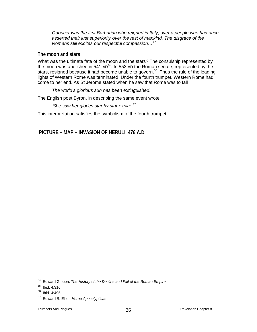*Odoacer was the first Barbarian who reigned in Italy, over a people who had once asserted their just superiority over the rest of mankind. The disgrace of the Romans still excites our respectful compassion…[54](#page-25-0)*

#### **The moon and stars**

What was the ultimate fate of the moon and the stars? The consulship represented by the moon was abolished in 541 AD<sup>55</sup>. In 553 AD the Roman senate, represented by the stars, resigned because it had become unable to govern.<sup>[56](#page-25-2)</sup> Thus the rule of the leading lights of Western Rome was terminated. Under the fourth trumpet. Western Rome had come to her end. As St Jerome stated when he saw that Rome was to fall

*The world's glorious sun has been extinguished.*

The English poet Byron, in describing the same event wrote

*She saw her glories star by star expire.[57](#page-25-3)*

This interpretation satisfies the symbolism of the fourth trumpet.

**PICTURE – MAP – INVASION OF HERULI 476 A.D.**

<span id="page-25-0"></span><sup>54</sup> Edward Gibbon, *The History of the Decline and Fall of the Roman Empire* 

<span id="page-25-1"></span> $55$  Ibid. 4:316.

<span id="page-25-2"></span><sup>56</sup> Ibid. 4:495.

<span id="page-25-3"></span><sup>57</sup> Edward B. Elliot, *Horae Apocalypticae*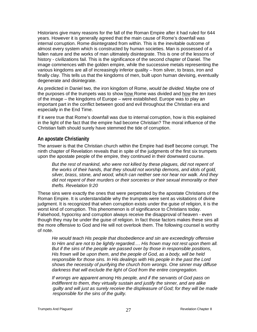Historians give many reasons for the fall of the Roman Empire after it had ruled for 644 years. However it is generally agreed that the main cause of Rome's downfall was internal corruption. Rome disintegrated from within. This is the inevitable outcome of almost every system which is constructed by human societies. Man is possessed of a fallen nature and the works of man ultimately disintegrate. This is one of the lessons of history - civilizations fail. This is the significance of the second chapter of Daniel. The image commences with the golden empire, while the successive metals representing the various kingdoms are all of increasingly inferior quality – from silver, to brass, iron and finally clay. This tells us that the kingdoms of men, built upon human devising, eventually degenerate and disintegrate.

As predicted in Daniel two, the iron kingdom of Rome, *would be divided*. Maybe one of the purposes of the trumpets was to show how Rome was divided and how the *ten toes* of the image – the kingdoms of Europe – were established. Europe was to play an important part in the conflict between good and evil throughout the Christian era and especially in the End Time.

If it were true that Rome's downfall was due to internal corruption, how is this explained in the light of the fact that the empire had become Christian? The moral influence of the Christian faith should surely have stemmed the tide of corruption.

#### **An apostate Christianity**

The answer is that the Christian church within the Empire had itself become corrupt. The ninth chapter of Revelation reveals that in spite of the judgments of the first six trumpets upon the apostate people of the empire, they continued in their downward course.

But the rest of mankind, who were not killed by these plagues, did not repent of *the works of their hands, that they should not worship demons, and idols of gold, silver, brass, stone, and wood, which can neither see nor hear nor walk. And they did not repent of their murders or their sorceries or their sexual immorality or their thefts. Revelation 9:20*

These sins were exactly the ones that were perpetrated by the apostate Christians of the Roman Empire. It is understandable why the trumpets were sent as visitations of divine judgment. It is recognized that when corruption exists under the guise of religion, it is the worst kind of corruption. This phenomenon is of significance to Christians today. Falsehood, hypocrisy and corruption always receive the disapproval of heaven - even though they may be under the guise of religion. In fact those factors makes these sins all the more offensive to God and He will not overlook them. The following counsel is worthy of note.

*He would teach His people that disobedience and sin are exceedingly offensive to Him and are not to be lightly regarded…. His frown may not rest upon them all. But if the sins of the people are passed over by those in responsible positions, His frown will be upon them, and the people of God, as a body, will be held responsible for those sins. In His dealings with His people in the past the Lord shows the necessity of purifying the church from wrongs. One sinner may diffuse darkness that will exclude the light of God from the entire congregation.*

*If wrongs are apparent among His people, and if the servants of God pass on indifferent to them, they virtually sustain and justify the sinner, and are alike guilty and will just as surely receive the displeasure of God; for they will be made responsible for the sins of the guilty.*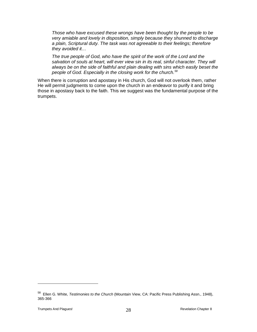*Those who have excused these wrongs have been thought by the people to be very amiable and lovely in disposition, simply because they shunned to discharge a plain, Scriptural duty. The task was not agreeable to their feelings; therefore they avoided it…*

*The true people of God, who have the spirit of the work of the Lord and the salvation of souls at heart, will ever view sin in its real, sinful character. They will always be on the side of faithful and plain dealing with sins which easily beset the people of God. Especially in the closing work for the church.[58](#page-27-1)*

<span id="page-27-0"></span>When there is corruption and apostasy in His church, God will not overlook them, rather He will permit judgments to come upon the church in an endeavor to purify it and bring those in apostasy back to the faith. This we suggest was the fundamental purpose of the trumpets.

<span id="page-27-1"></span><sup>58</sup> Ellen G. White, *Testimonies to the Church* (Mountain View, CA: Pacific Press Publishing Assn., 1948), 365-366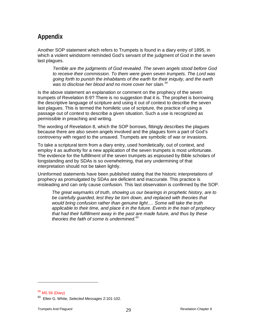# **Appendix**

Another SOP statement which refers to Trumpets is found in a diary entry of 1895, in which a violent windstorm reminded God's servant of the judgment of God in the seven last plagues.

*Terrible are the judgments of God revealed. The seven angels stood before God to receive their commission. To them were given seven trumpets. The Lord was going forth to punish the inhabitants of the earth for their iniquity, and the earth was to disclose her blood and no more cover her slain.[59](#page-28-0)*

Is the above statement an explanation or comment on the prophecy of the seven trumpets of Revelation 8-9? There is no suggestion that it is. The prophet is borrowing the descriptive language of scripture and using it out of context to describe the seven last plagues. This is termed the homiletic use of scripture, the practice of using a passage out of context to describe a given situation. Such a use is recognized as permissible in preaching and writing.

The wording of Revelation 8, which the SOP borrows, fittingly describes the plagues because there are also seven angels involved and the plagues form a part of God's controversy with regard to the unsaved. Trumpets are symbolic of war or invasions.

To take a scriptural term from a diary entry, used homiletically, out of context, and employ it as authority for a new application of the seven trumpets is most unfortunate. The evidence for the fulfillment of the seven trumpets as espoused by Bible scholars of longstanding and by SDAs is so overwhelming, that any undermining of that interpretation should not be taken lightly.

Uninformed statements have been published stating that the historic interpretations of prophecy as promulgated by SDAs are deficient and inaccurate. This practice is misleading and can only cause confusion. This last observation is confirmed by the SOP.

*The great waymarks of truth, showing us our bearings in prophetic history, are to*  be carefully guarded, lest they be torn down, and replaced with theories that *would bring confusion rather than genuine light…. Some will take the truth applicable to their time, and place it in the future. Events in the train of prophecy that had their fulfillment away in the past are made future, and thus by these theories the faith of some is undermined.[60](#page-28-1)*

<span id="page-28-0"></span> $59$  MS 59 (Diary)

<span id="page-28-1"></span><sup>60</sup> Ellen G. White, *Selected Messages* 2:101-102.